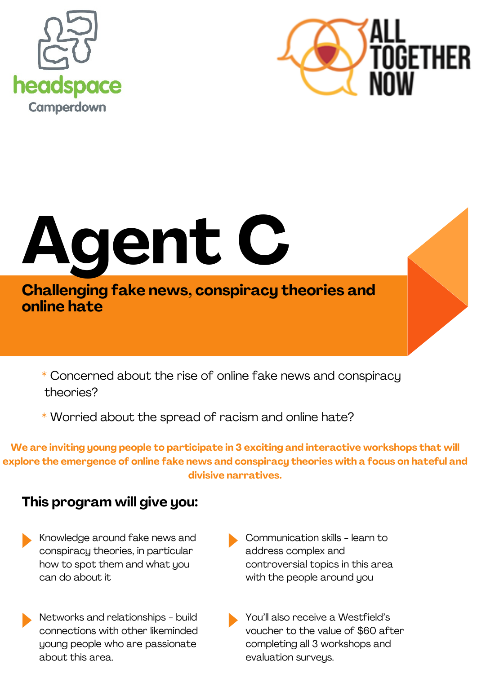



# **Agent C C**

**Challenging fake news, conspiracy theories and online hate**

\* Concerned about the rise of online fake news and conspiracy theories?

\* Worried about the spread of racism and online hate?

**We are inviting young people to participate in 3 exciting and interactive workshops that will explore the emergence of online fake news and conspiracy theories with a focus on hateful and divisive narratives.**

#### **This program will give you:**

- Knowledge around fake news and conspiracy theories, in particular how to spot them and what you can do about it
- Networks and relationships build connections with other likeminded young people who are passionate about this area.
- Communication skills learn to address complex and controversial topics in this area with the people around you
- You'll also receive a Westfield's voucher to the value of \$60 after completing all 3 workshops and evaluation surveys.